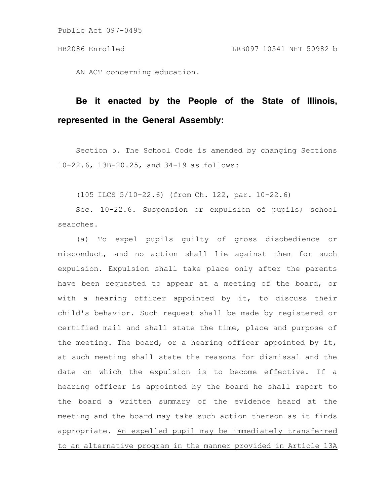AN ACT concerning education.

## **Be it enacted by the People of the State of Illinois, represented in the General Assembly:**

Section 5. The School Code is amended by changing Sections 10-22.6, 13B-20.25, and 34-19 as follows:

(105 ILCS 5/10-22.6) (from Ch. 122, par. 10-22.6)

Sec. 10-22.6. Suspension or expulsion of pupils; school searches.

(a) To expel pupils guilty of gross disobedience or misconduct, and no action shall lie against them for such expulsion. Expulsion shall take place only after the parents have been requested to appear at a meeting of the board, or with a hearing officer appointed by it, to discuss their child's behavior. Such request shall be made by registered or certified mail and shall state the time, place and purpose of the meeting. The board, or a hearing officer appointed by it, at such meeting shall state the reasons for dismissal and the date on which the expulsion is to become effective. If a hearing officer is appointed by the board he shall report to the board a written summary of the evidence heard at the meeting and the board may take such action thereon as it finds appropriate. An expelled pupil may be immediately transferred to an alternative program in the manner provided in Article 13A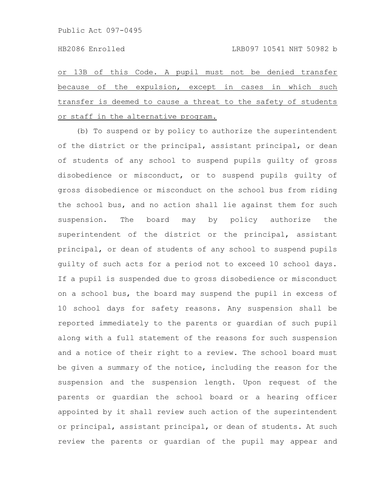or 13B of this Code. A pupil must not be denied transfer because of the expulsion, except in cases in which such transfer is deemed to cause a threat to the safety of students or staff in the alternative program.

(b) To suspend or by policy to authorize the superintendent of the district or the principal, assistant principal, or dean of students of any school to suspend pupils guilty of gross disobedience or misconduct, or to suspend pupils guilty of gross disobedience or misconduct on the school bus from riding the school bus, and no action shall lie against them for such suspension. The board may by policy authorize the superintendent of the district or the principal, assistant principal, or dean of students of any school to suspend pupils guilty of such acts for a period not to exceed 10 school days. If a pupil is suspended due to gross disobedience or misconduct on a school bus, the board may suspend the pupil in excess of 10 school days for safety reasons. Any suspension shall be reported immediately to the parents or guardian of such pupil along with a full statement of the reasons for such suspension and a notice of their right to a review. The school board must be given a summary of the notice, including the reason for the suspension and the suspension length. Upon request of the parents or guardian the school board or a hearing officer appointed by it shall review such action of the superintendent or principal, assistant principal, or dean of students. At such review the parents or guardian of the pupil may appear and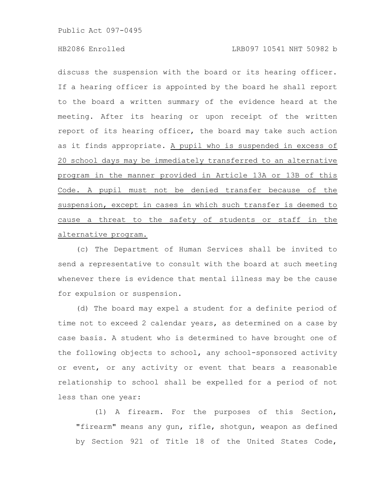discuss the suspension with the board or its hearing officer. If a hearing officer is appointed by the board he shall report to the board a written summary of the evidence heard at the meeting. After its hearing or upon receipt of the written report of its hearing officer, the board may take such action as it finds appropriate. A pupil who is suspended in excess of 20 school days may be immediately transferred to an alternative program in the manner provided in Article 13A or 13B of this Code. A pupil must not be denied transfer because of the suspension, except in cases in which such transfer is deemed to cause a threat to the safety of students or staff in the alternative program.

(c) The Department of Human Services shall be invited to send a representative to consult with the board at such meeting whenever there is evidence that mental illness may be the cause for expulsion or suspension.

(d) The board may expel a student for a definite period of time not to exceed 2 calendar years, as determined on a case by case basis. A student who is determined to have brought one of the following objects to school, any school-sponsored activity or event, or any activity or event that bears a reasonable relationship to school shall be expelled for a period of not less than one year:

(1) A firearm. For the purposes of this Section, "firearm" means any gun, rifle, shotgun, weapon as defined by Section 921 of Title 18 of the United States Code,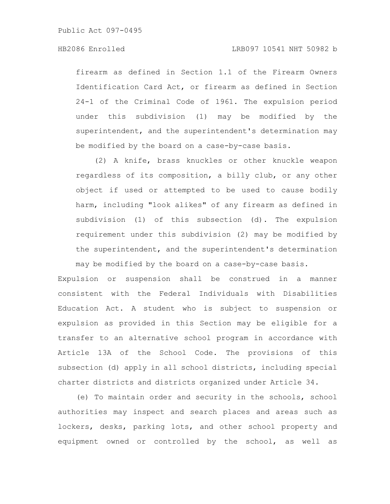firearm as defined in Section 1.1 of the Firearm Owners Identification Card Act, or firearm as defined in Section 24-1 of the Criminal Code of 1961. The expulsion period under this subdivision (1) may be modified by the superintendent, and the superintendent's determination may be modified by the board on a case-by-case basis.

(2) A knife, brass knuckles or other knuckle weapon regardless of its composition, a billy club, or any other object if used or attempted to be used to cause bodily harm, including "look alikes" of any firearm as defined in subdivision (1) of this subsection (d). The expulsion requirement under this subdivision (2) may be modified by the superintendent, and the superintendent's determination may be modified by the board on a case-by-case basis.

Expulsion or suspension shall be construed in a manner consistent with the Federal Individuals with Disabilities Education Act. A student who is subject to suspension or expulsion as provided in this Section may be eligible for a transfer to an alternative school program in accordance with Article 13A of the School Code. The provisions of this subsection (d) apply in all school districts, including special charter districts and districts organized under Article 34.

(e) To maintain order and security in the schools, school authorities may inspect and search places and areas such as lockers, desks, parking lots, and other school property and equipment owned or controlled by the school, as well as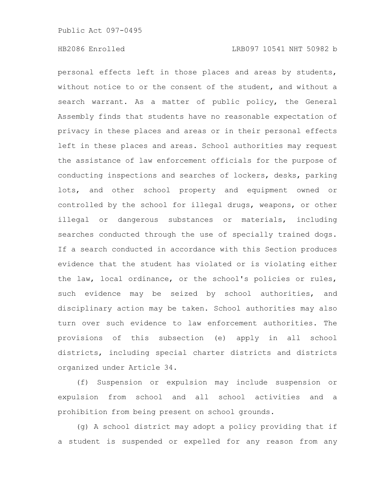personal effects left in those places and areas by students, without notice to or the consent of the student, and without a search warrant. As a matter of public policy, the General Assembly finds that students have no reasonable expectation of privacy in these places and areas or in their personal effects left in these places and areas. School authorities may request the assistance of law enforcement officials for the purpose of conducting inspections and searches of lockers, desks, parking lots, and other school property and equipment owned or controlled by the school for illegal drugs, weapons, or other illegal or dangerous substances or materials, including searches conducted through the use of specially trained dogs. If a search conducted in accordance with this Section produces evidence that the student has violated or is violating either the law, local ordinance, or the school's policies or rules, such evidence may be seized by school authorities, and disciplinary action may be taken. School authorities may also turn over such evidence to law enforcement authorities. The provisions of this subsection (e) apply in all school districts, including special charter districts and districts organized under Article 34.

(f) Suspension or expulsion may include suspension or expulsion from school and all school activities and a prohibition from being present on school grounds.

(g) A school district may adopt a policy providing that if a student is suspended or expelled for any reason from any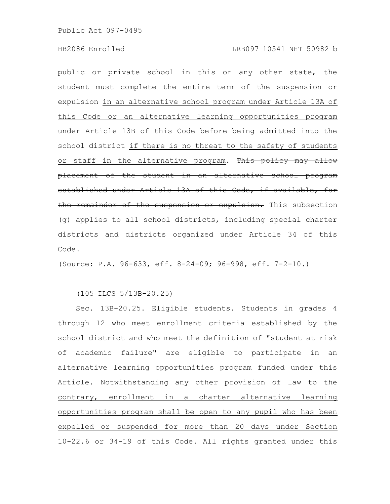public or private school in this or any other state, the student must complete the entire term of the suspension or expulsion in an alternative school program under Article 13A of this Code or an alternative learning opportunities program under Article 13B of this Code before being admitted into the school district if there is no threat to the safety of students or staff in the alternative program. This policy may allow placement of the student in an alternative school program established under Article 13A of this Code, if available, for the remainder of the suspension or expulsion. This subsection (g) applies to all school districts, including special charter districts and districts organized under Article 34 of this Code.

(Source: P.A. 96-633, eff. 8-24-09; 96-998, eff. 7-2-10.)

(105 ILCS 5/13B-20.25)

Sec. 13B-20.25. Eligible students. Students in grades 4 through 12 who meet enrollment criteria established by the school district and who meet the definition of "student at risk of academic failure" are eligible to participate in an alternative learning opportunities program funded under this Article. Notwithstanding any other provision of law to the contrary, enrollment in a charter alternative learning opportunities program shall be open to any pupil who has been expelled or suspended for more than 20 days under Section 10-22.6 or 34-19 of this Code. All rights granted under this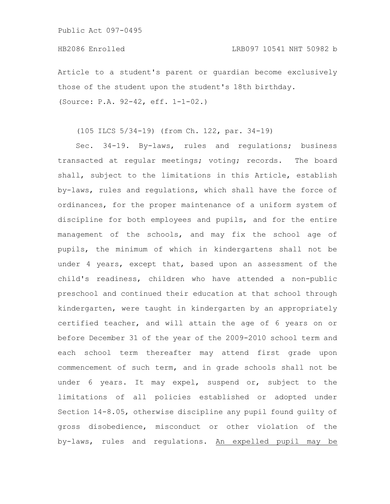Article to a student's parent or guardian become exclusively those of the student upon the student's 18th birthday. (Source: P.A. 92-42, eff. 1-1-02.)

(105 ILCS 5/34-19) (from Ch. 122, par. 34-19)

Sec. 34-19. By-laws, rules and regulations; business transacted at regular meetings; voting; records. The board shall, subject to the limitations in this Article, establish by-laws, rules and regulations, which shall have the force of ordinances, for the proper maintenance of a uniform system of discipline for both employees and pupils, and for the entire management of the schools, and may fix the school age of pupils, the minimum of which in kindergartens shall not be under 4 years, except that, based upon an assessment of the child's readiness, children who have attended a non-public preschool and continued their education at that school through kindergarten, were taught in kindergarten by an appropriately certified teacher, and will attain the age of 6 years on or before December 31 of the year of the 2009-2010 school term and each school term thereafter may attend first grade upon commencement of such term, and in grade schools shall not be under 6 years. It may expel, suspend or, subject to the limitations of all policies established or adopted under Section 14-8.05, otherwise discipline any pupil found guilty of gross disobedience, misconduct or other violation of the by-laws, rules and regulations. An expelled pupil may be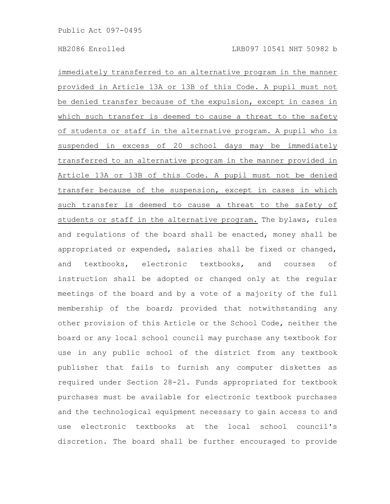immediately transferred to an alternative program in the manner provided in Article 13A or 13B of this Code. A pupil must not be denied transfer because of the expulsion, except in cases in which such transfer is deemed to cause a threat to the safety of students or staff in the alternative program. A pupil who is suspended in excess of 20 school days may be immediately transferred to an alternative program in the manner provided in Article 13A or 13B of this Code. A pupil must not be denied transfer because of the suspension, except in cases in which such transfer is deemed to cause a threat to the safety of students or staff in the alternative program. The bylaws, rules and regulations of the board shall be enacted, money shall be appropriated or expended, salaries shall be fixed or changed, and textbooks, electronic textbooks, and courses of instruction shall be adopted or changed only at the regular meetings of the board and by a vote of a majority of the full membership of the board; provided that notwithstanding any other provision of this Article or the School Code, neither the board or any local school council may purchase any textbook for use in any public school of the district from any textbook publisher that fails to furnish any computer diskettes as required under Section 28-21. Funds appropriated for textbook purchases must be available for electronic textbook purchases and the technological equipment necessary to gain access to and use electronic textbooks at the local school council's discretion. The board shall be further encouraged to provide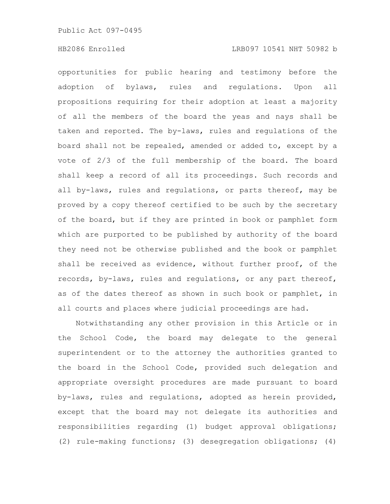opportunities for public hearing and testimony before the adoption of bylaws, rules and regulations. Upon all propositions requiring for their adoption at least a majority of all the members of the board the yeas and nays shall be taken and reported. The by-laws, rules and regulations of the board shall not be repealed, amended or added to, except by a vote of 2/3 of the full membership of the board. The board shall keep a record of all its proceedings. Such records and all by-laws, rules and regulations, or parts thereof, may be proved by a copy thereof certified to be such by the secretary of the board, but if they are printed in book or pamphlet form which are purported to be published by authority of the board they need not be otherwise published and the book or pamphlet shall be received as evidence, without further proof, of the records, by-laws, rules and regulations, or any part thereof, as of the dates thereof as shown in such book or pamphlet, in all courts and places where judicial proceedings are had.

Notwithstanding any other provision in this Article or in the School Code, the board may delegate to the general superintendent or to the attorney the authorities granted to the board in the School Code, provided such delegation and appropriate oversight procedures are made pursuant to board by-laws, rules and regulations, adopted as herein provided, except that the board may not delegate its authorities and responsibilities regarding (1) budget approval obligations; (2) rule-making functions; (3) desegregation obligations; (4)